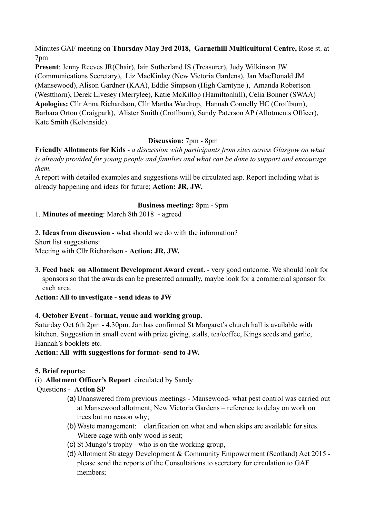Minutes GAF meeting on **Thursday May 3rd 2018, Garnethill Multicultural Centre,** Rose st. at 7pm

**Present**: Jenny Reeves JR(Chair), Iain Sutherland IS (Treasurer), Judy Wilkinson JW (Communications Secretary), Liz MacKinlay (New Victoria Gardens), Jan MacDonald JM (Mansewood), Alison Gardner (KAA), Eddie Simpson (High Carntyne ), Amanda Robertson (Westthorn), Derek Livesey (Merrylee), Katie McKillop (Hamiltonhill), Celia Bonner (SWAA) **Apologies:** Cllr Anna Richardson, Cllr Martha Wardrop, Hannah Connelly HC (Croftburn), Barbara Orton (Craigpark), Alister Smith (Croftburn), Sandy Paterson AP (Allotments Officer), Kate Smith (Kelvinside).

# **Discussion:** 7pm - 8pm

**Friendly Allotments for Kids** - *a discussion with participants from sites across Glasgow on what is already provided for young people and families and what can be done to support and encourage them.* 

A report with detailed examples and suggestions will be circulated asp. Report including what is already happening and ideas for future; **Action: JR, JW.**

## **Business meeting:** 8pm - 9pm

1. **Minutes of meeting**: March 8th 2018 - agreed

2. **Ideas from discussion** - what should we do with the information?

Short list suggestions:

Meeting with Cllr Richardson - **Action: JR, JW.**

3. **Feed back on Allotment Development Award event.** - very good outcome. We should look for sponsors so that the awards can be presented annually, maybe look for a commercial sponsor for each area.

**Action: All to investigate - send ideas to JW**

### 4. **October Event - format, venue and working group**.

Saturday Oct 6th 2pm - 4.30pm. Jan has confirmed St Margaret's church hall is available with kitchen. Suggestion in small event with prize giving, stalls, tea/coffee, Kings seeds and garlic, Hannah's booklets etc.

**Action: All with suggestions for format- send to JW.** 

## **5. Brief reports:**

(i) **Allotment Officer's Report** circulated by Sandy

## Questions - **Action SP**

- (a)Unanswered from previous meetings Mansewood- what pest control was carried out at Mansewood allotment; New Victoria Gardens – reference to delay on work on trees but no reason why;
- (b)Waste management: clarification on what and when skips are available for sites. Where cage with only wood is sent;
- (c) St Mungo's trophy who is on the working group,
- (d)Allotment Strategy Development & Community Empowerment (Scotland) Act 2015 please send the reports of the Consultations to secretary for circulation to GAF members;